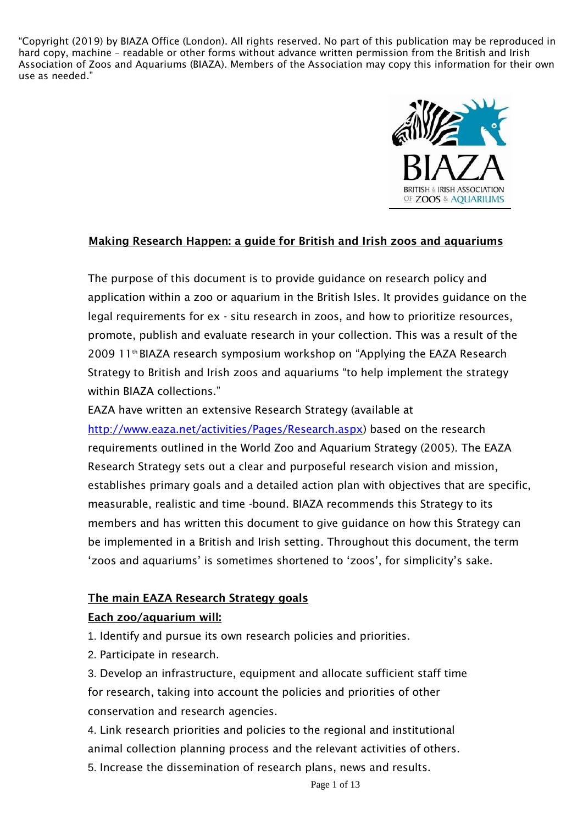

### Making Research Happen: a guide for British and Irish zoos and aquariums

The purpose of this document is to provide guidance on research policy and application within a zoo or aquarium in the British Isles. It provides guidance on the legal requirements for ex - situ research in zoos, and how to prioritize resources, promote, publish and evaluate research in your collection. This was a result of the 2009 11<sup>th</sup> BIAZA research symposium workshop on "Applying the EAZA Research" Strategy to British and Irish zoos and aquariums "to help implement the strategy within BIAZA collections."

EAZA have written an extensive Research Strategy (available at [http://www.eaza.net/activities/Pages/Research.aspx\)](http://www.eaza.net/activities/Pages/Research.aspx) based on the research requirements outlined in the World Zoo and Aquarium Strategy (2005). The EAZA Research Strategy sets out a clear and purposeful research vision and mission, establishes primary goals and a detailed action plan with objectives that are specific, measurable, realistic and time -bound. BIAZA recommends this Strategy to its members and has written this document to give guidance on how this Strategy can be implemented in a British and Irish setting. Throughout this document, the term 'zoos and aquariums' is sometimes shortened to 'zoos', for simplicity's sake.

### The main EAZA Research Strategy goals

## Each zoo/aquarium will:

1. Identify and pursue its own research policies and priorities.

2. Participate in research.

3. Develop an infrastructure, equipment and allocate sufficient staff time for research, taking into account the policies and priorities of other conservation and research agencies.

4. Link research priorities and policies to the regional and institutional animal collection planning process and the relevant activities of others. 5. Increase the dissemination of research plans, news and results.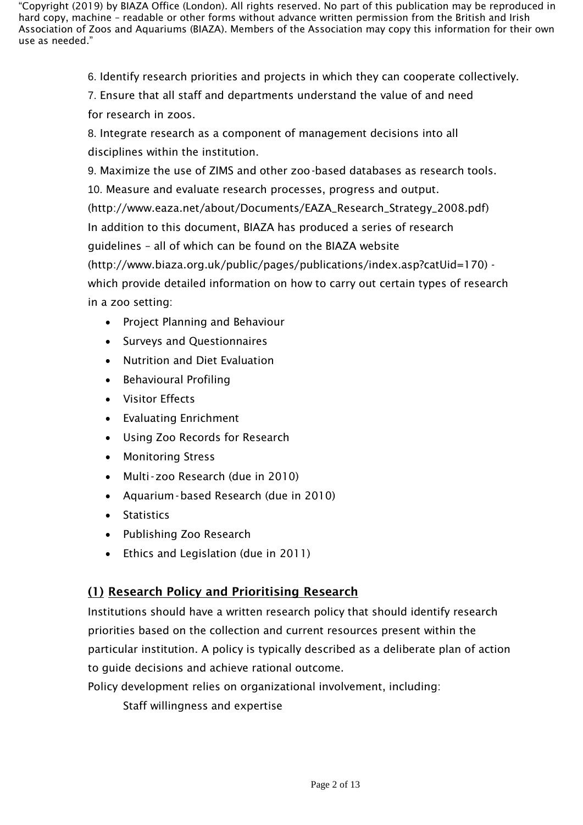6. Identify research priorities and projects in which they can cooperate collectively.

7. Ensure that all staff and departments understand the value of and need for research in zoos.

8. Integrate research as a component of management decisions into all disciplines within the institution.

9. Maximize the use of ZIMS and other zoo-based databases as research tools. 10. Measure and evaluate research processes, progress and output. [\(http://www.eaza.net/about/Documents/EAZA\\_Research\\_Strategy\\_2008.pdf\)](http://www.eaza.net/about/Documents/EAZA_Research_Strategy_2008.pdf)) In addition to this document, BIAZA has produced a series of research guidelines – all of which can be found on the BIAZA websit[e](http://www.biaza.org.uk/public/pages/publications/index.asp?catUid=170)) [\(http://www.biaza.org.uk/public/pages/publications/index.asp?catUid=170\)](http://www.biaza.org.uk/public/pages/publications/index.asp?catUid=170)) which provide detailed information on how to carry out certain types of research in a zoo setting:

- Project Planning and Behaviour
- Surveys and Questionnaires
- Nutrition and Diet Evaluation
- Behavioural Profiling
- Visitor Effects
- Evaluating Enrichment
- Using Zoo Records for Research
- Monitoring Stress
- Multi-zoo Research (due in 2010)
- Aquarium-based Research (due in 2010)
- Statistics
- Publishing Zoo Research
- Ethics and Legislation (due in 2011)

# (1) Research Policy and Prioritising Research

Institutions should have a written research policy that should identify research priorities based on the collection and current resources present within the particular institution. A policy is typically described as a deliberate plan of action to guide decisions and achieve rational outcome.

Policy development relies on organizational involvement, including:

Staff willingness and expertise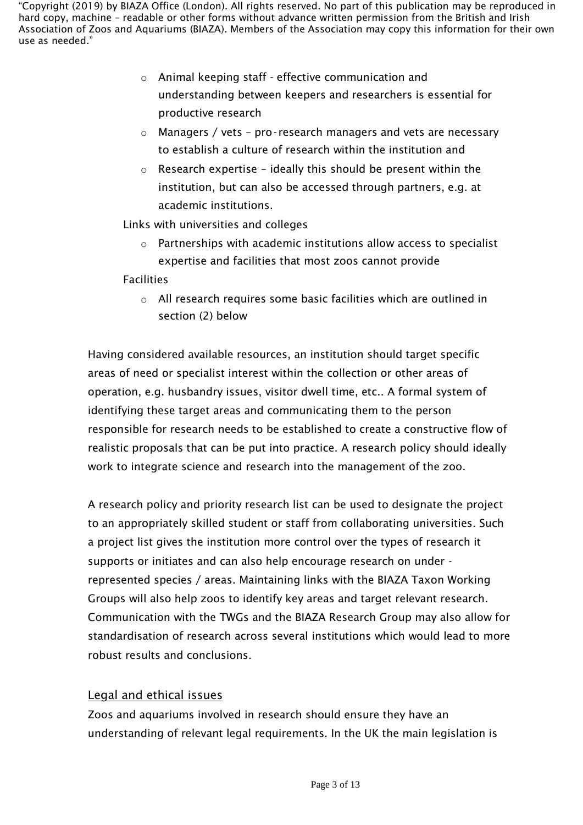- o Animal keeping staff effective communication and understanding between keepers and researchers is essential for productive research
- o Managers / vets pro- research managers and vets are necessary to establish a culture of research within the institution and
- $\circ$  Research expertise ideally this should be present within the institution, but can also be accessed through partners, e.g. at academic institutions.

Links with universities and colleges

o Partnerships with academic institutions allow access to specialist expertise and facilities that most zoos cannot provide

Facilities

o All research requires some basic facilities which are outlined in section (2) below

Having considered available resources, an institution should target specific areas of need or specialist interest within the collection or other areas of operation, e.g. husbandry issues, visitor dwell time, etc.. A formal system of identifying these target areas and communicating them to the person responsible for research needs to be established to create a constructive flow of realistic proposals that can be put into practice. A research policy should ideally work to integrate science and research into the management of the zoo.

A research policy and priority research list can be used to designate the project to an appropriately skilled student or staff from collaborating universities. Such a project list gives the institution more control over the types of research it supports or initiates and can also help encourage research on under represented species / areas. Maintaining links with the BIAZA Taxon Working Groups will also help zoos to identify key areas and target relevant research. Communication with the TWGs and the BIAZA Research Group may also allow for standardisation of research across several institutions which would lead to more robust results and conclusions.

# Legal and ethical issues

Zoos and aquariums involved in research should ensure they have an understanding of relevant legal requirements. In the UK the main legislation is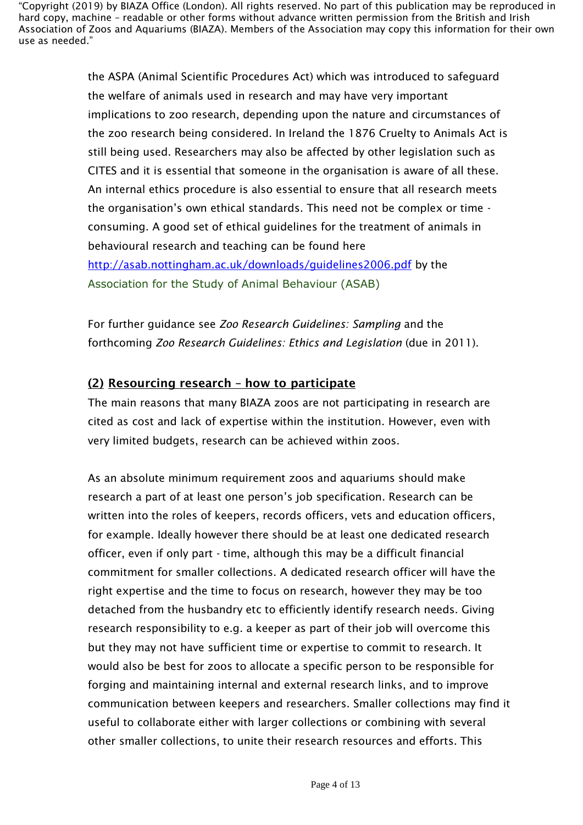> the ASPA (Animal Scientific Procedures Act) which was introduced to safeguard the welfare of animals used in research and may have very important implications to zoo research, depending upon the nature and circumstances of the zoo research being considered. In Ireland the 1876 Cruelty to Animals Act is still being used. Researchers may also be affected by other legislation such as CITES and it is essential that someone in the organisation is aware of all these. An internal ethics procedure is also essential to ensure that all research meets the organisation's own ethical standards. This need not be complex or time consuming. A good set of ethical guidelines for the treatment of animals in behavioural research and teaching can be found here <http://asab.nottingham.ac.uk/downloads/guidelines2006.pdf> by the Association for the Study of Animal Behaviour (ASAB)

For further guidance see *Zoo Research Guidelines: Sampling* and the forthcoming *Zoo Research Guidelines: Ethics and Legislation* (due in 2011).

## (2) Resourcing research – how to participate

The main reasons that many BIAZA zoos are not participating in research are cited as cost and lack of expertise within the institution. However, even with very limited budgets, research can be achieved within zoos.

As an absolute minimum requirement zoos and aquariums should make research a part of at least one person's job specification. Research can be written into the roles of keepers, records officers, vets and education officers, for example. Ideally however there should be at least one dedicated research officer, even if only part - time, although this may be a difficult financial commitment for smaller collections. A dedicated research officer will have the right expertise and the time to focus on research, however they may be too detached from the husbandry etc to efficiently identify research needs. Giving research responsibility to e.g. a keeper as part of their job will overcome this but they may not have sufficient time or expertise to commit to research. It would also be best for zoos to allocate a specific person to be responsible for forging and maintaining internal and external research links, and to improve communication between keepers and researchers. Smaller collections may find it useful to collaborate either with larger collections or combining with several other smaller collections, to unite their research resources and efforts. This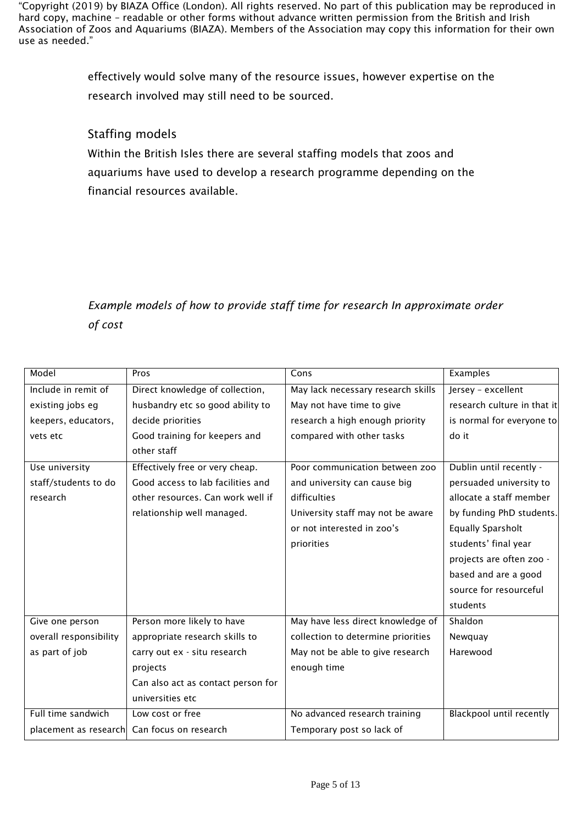> effectively would solve many of the resource issues, however expertise on the research involved may still need to be sourced.

## Staffing models

Within the British Isles there are several staffing models that zoos and aquariums have used to develop a research programme depending on the financial resources available.

# *Example models of how to provide staff time for research In approximate order of cost*

| Model                  | Pros                               | Cons                               | Examples                    |
|------------------------|------------------------------------|------------------------------------|-----------------------------|
| Include in remit of    | Direct knowledge of collection,    | May lack necessary research skills | Jersey - excellent          |
| existing jobs eg       | husbandry etc so good ability to   | May not have time to give          | research culture in that it |
| keepers, educators,    | decide priorities                  | research a high enough priority    | is normal for everyone to   |
| vets etc               | Good training for keepers and      | compared with other tasks          | do it                       |
|                        | other staff                        |                                    |                             |
| Use university         | Effectively free or very cheap.    | Poor communication between zoo     | Dublin until recently -     |
| staff/students to do   | Good access to lab facilities and  | and university can cause big       | persuaded university to     |
| research               | other resources. Can work well if  | difficulties                       | allocate a staff member     |
|                        | relationship well managed.         | University staff may not be aware  | by funding PhD students.    |
|                        |                                    | or not interested in zoo's         | <b>Equally Sparsholt</b>    |
|                        |                                    | priorities                         | students' final year        |
|                        |                                    |                                    | projects are often zoo -    |
|                        |                                    |                                    | based and are a good        |
|                        |                                    |                                    | source for resourceful      |
|                        |                                    |                                    | students                    |
| Give one person        | Person more likely to have         | May have less direct knowledge of  | Shaldon                     |
| overall responsibility | appropriate research skills to     | collection to determine priorities | Newquay                     |
| as part of job         | carry out ex - situ research       | May not be able to give research   | Harewood                    |
|                        | projects                           | enough time                        |                             |
|                        | Can also act as contact person for |                                    |                             |
|                        | universities etc                   |                                    |                             |
| Full time sandwich     | Low cost or free                   | No advanced research training      | Blackpool until recently    |
| placement as research  | Can focus on research              | Temporary post so lack of          |                             |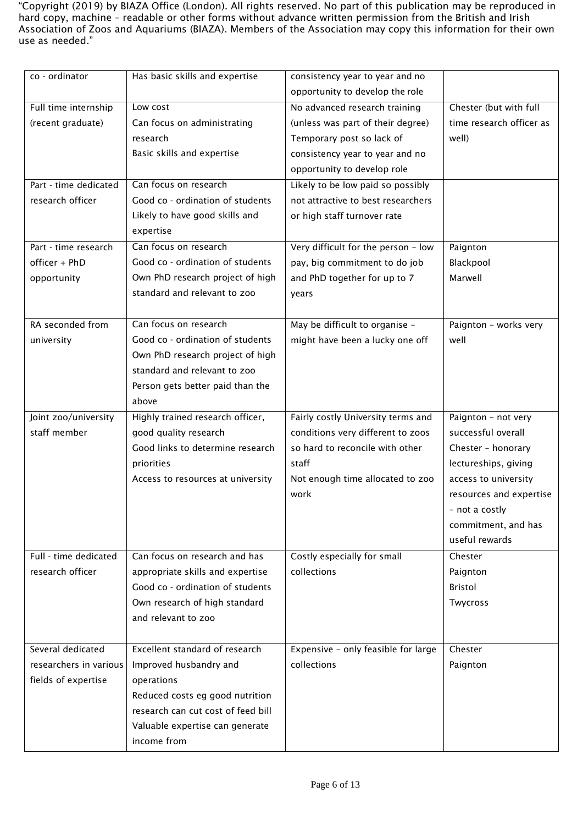| co - ordinator         | Has basic skills and expertise        | consistency year to year and no     |                          |
|------------------------|---------------------------------------|-------------------------------------|--------------------------|
|                        |                                       | opportunity to develop the role     |                          |
| Full time internship   | Low cost                              | No advanced research training       | Chester (but with full   |
| (recent graduate)      | Can focus on administrating           | (unless was part of their degree)   | time research officer as |
|                        | research                              | Temporary post so lack of           | well)                    |
|                        | Basic skills and expertise            | consistency year to year and no     |                          |
|                        |                                       | opportunity to develop role         |                          |
| Part - time dedicated  | Can focus on research                 | Likely to be low paid so possibly   |                          |
| research officer       | Good co - ordination of students      | not attractive to best researchers  |                          |
|                        | Likely to have good skills and        | or high staff turnover rate         |                          |
|                        | expertise                             |                                     |                          |
| Part - time research   | Can focus on research                 | Very difficult for the person - low | Paignton                 |
| officer + PhD          | Good co - ordination of students      | pay, big commitment to do job       | Blackpool                |
| opportunity            | Own PhD research project of high      | and PhD together for up to 7        | Marwell                  |
|                        | standard and relevant to zoo          | years                               |                          |
|                        |                                       |                                     |                          |
| RA seconded from       | Can focus on research                 | May be difficult to organise -      | Paignton - works very    |
| university             | Good co - ordination of students      | might have been a lucky one off     | well                     |
|                        | Own PhD research project of high      |                                     |                          |
|                        | standard and relevant to zoo          |                                     |                          |
|                        | Person gets better paid than the      |                                     |                          |
|                        | above                                 |                                     |                          |
| Joint zoo/university   | Highly trained research officer,      | Fairly costly University terms and  | Paignton - not very      |
| staff member           | good quality research                 | conditions very different to zoos   | successful overall       |
|                        | Good links to determine research      | so hard to reconcile with other     | Chester - honorary       |
|                        | priorities                            | staff                               | lectureships, giving     |
|                        | Access to resources at university     | Not enough time allocated to zoo    | access to university     |
|                        |                                       | work                                | resources and expertise  |
|                        |                                       |                                     | - not a costly           |
|                        |                                       |                                     | commitment, and has      |
|                        |                                       |                                     | useful rewards           |
| Full - time dedicated  | Can focus on research and has         | Costly especially for small         | Chester                  |
| research officer       | appropriate skills and expertise      | collections                         | Paignton                 |
|                        | Good co - ordination of students      |                                     | <b>Bristol</b>           |
|                        | Own research of high standard         |                                     | Twycross                 |
|                        | and relevant to zoo                   |                                     |                          |
|                        |                                       |                                     |                          |
| Several dedicated      | <b>Excellent standard of research</b> | Expensive - only feasible for large | Chester                  |
| researchers in various | Improved husbandry and                | collections                         | Paignton                 |
| fields of expertise    | operations                            |                                     |                          |
|                        |                                       |                                     |                          |
|                        | Reduced costs eg good nutrition       |                                     |                          |
|                        | research can cut cost of feed bill    |                                     |                          |
|                        | Valuable expertise can generate       |                                     |                          |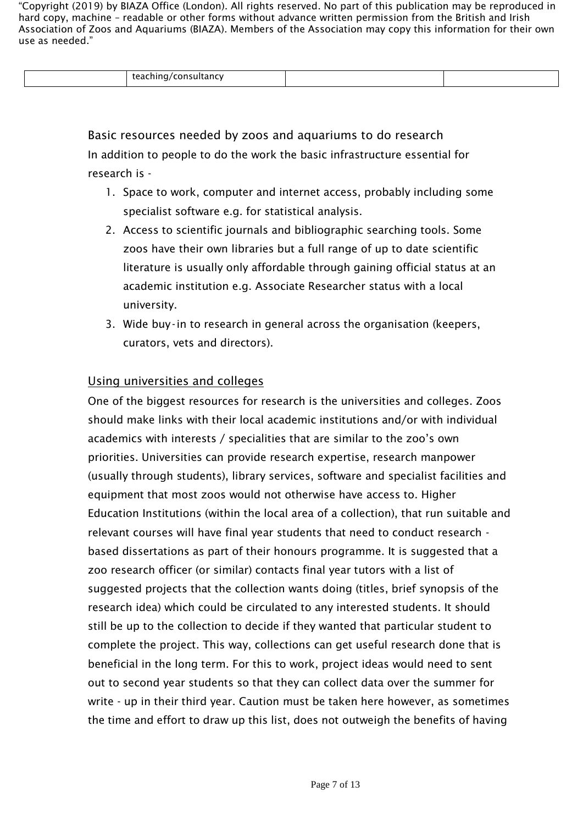| ---<br>anc<br>.<br>، پ |  |
|------------------------|--|

Basic resources needed by zoos and aquariums to do research In addition to people to do the work the basic infrastructure essential for research is -

- 1. Space to work, computer and internet access, probably including some specialist software e.g. for statistical analysis.
- 2. Access to scientific journals and bibliographic searching tools. Some zoos have their own libraries but a full range of up to date scientific literature is usually only affordable through gaining official status at an academic institution e.g. Associate Researcher status with a local university.
- 3. Wide buy-in to research in general across the organisation (keepers, curators, vets and directors).

## Using universities and colleges

One of the biggest resources for research is the universities and colleges. Zoos should make links with their local academic institutions and/or with individual academics with interests / specialities that are similar to the zoo's own priorities. Universities can provide research expertise, research manpower (usually through students), library services, software and specialist facilities and equipment that most zoos would not otherwise have access to. Higher Education Institutions (within the local area of a collection), that run suitable and relevant courses will have final year students that need to conduct research based dissertations as part of their honours programme. It is suggested that a zoo research officer (or similar) contacts final year tutors with a list of suggested projects that the collection wants doing (titles, brief synopsis of the research idea) which could be circulated to any interested students. It should still be up to the collection to decide if they wanted that particular student to complete the project. This way, collections can get useful research done that is beneficial in the long term. For this to work, project ideas would need to sent out to second year students so that they can collect data over the summer for write - up in their third year. Caution must be taken here however, as sometimes the time and effort to draw up this list, does not outweigh the benefits of having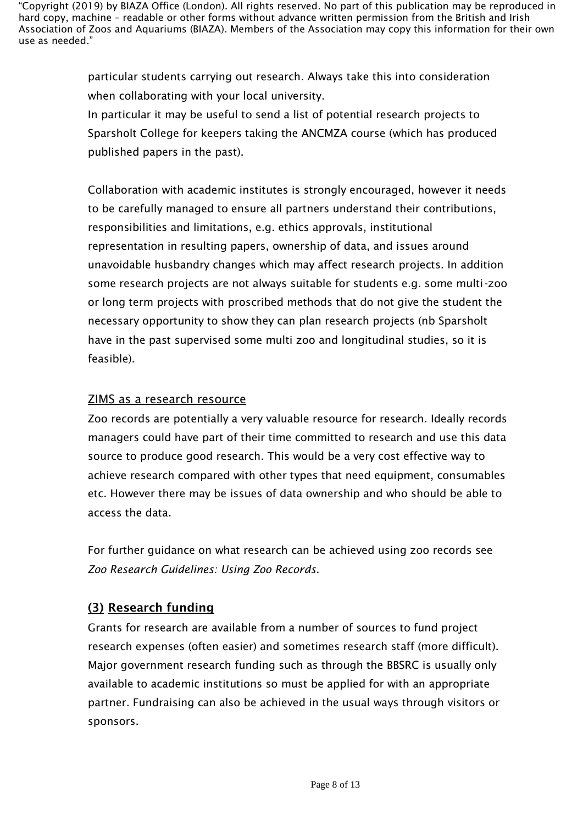> particular students carrying out research. Always take this into consideration when collaborating with your local university.

In particular it may be useful to send a list of potential research projects to Sparsholt College for keepers taking the ANCMZA course (which has produced published papers in the past).

Collaboration with academic institutes is strongly encouraged, however it needs to be carefully managed to ensure all partners understand their contributions, responsibilities and limitations, e.g. ethics approvals, institutional representation in resulting papers, ownership of data, and issues around unavoidable husbandry changes which may affect research projects. In addition some research projects are not always suitable for students e.g. some multi-zoo or long term projects with proscribed methods that do not give the student the necessary opportunity to show they can plan research projects (nb Sparsholt have in the past supervised some multi zoo and longitudinal studies, so it is feasible).

## ZIMS as a research resource

Zoo records are potentially a very valuable resource for research. Ideally records managers could have part of their time committed to research and use this data source to produce good research. This would be a very cost effective way to achieve research compared with other types that need equipment, consumables etc. However there may be issues of data ownership and who should be able to access the data.

For further guidance on what research can be achieved using zoo records see *Zoo Research Guidelines: Using Zoo Records.*

# (3) Research funding

Grants for research are available from a number of sources to fund project research expenses (often easier) and sometimes research staff (more difficult). Major government research funding such as through the BBSRC is usually only available to academic institutions so must be applied for with an appropriate partner. Fundraising can also be achieved in the usual ways through visitors or sponsors.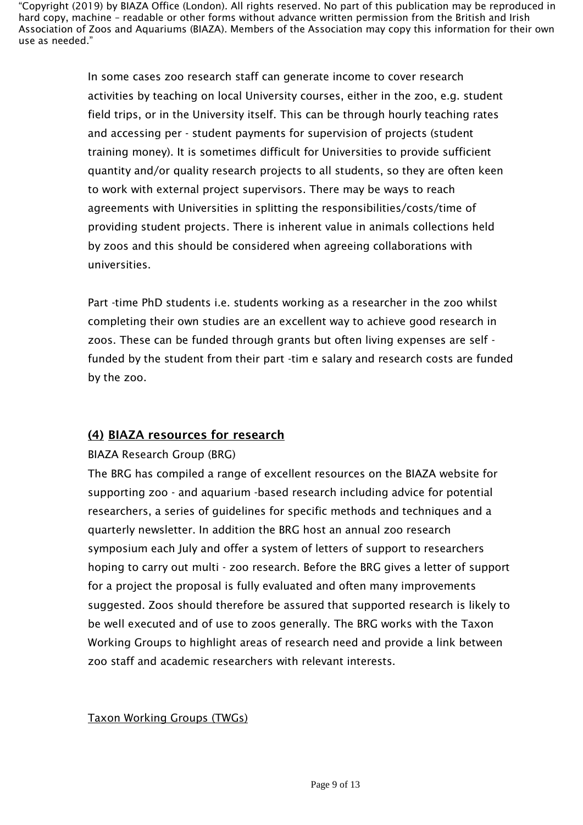> In some cases zoo research staff can generate income to cover research activities by teaching on local University courses, either in the zoo, e.g. student field trips, or in the University itself. This can be through hourly teaching rates and accessing per - student payments for supervision of projects (student training money). It is sometimes difficult for Universities to provide sufficient quantity and/or quality research projects to all students, so they are often keen to work with external project supervisors. There may be ways to reach agreements with Universities in splitting the responsibilities/costs/time of providing student projects. There is inherent value in animals collections held by zoos and this should be considered when agreeing collaborations with universities.

Part -time PhD students i.e. students working as a researcher in the zoo whilst completing their own studies are an excellent way to achieve good research in zoos. These can be funded through grants but often living expenses are self funded by the student from their part -tim e salary and research costs are funded by the zoo.

# (4) BIAZA resources for research

### BIAZA Research Group (BRG)

The BRG has compiled a range of excellent resources on the BIAZA website for supporting zoo - and aquarium -based research including advice for potential researchers, a series of guidelines for specific methods and techniques and a quarterly newsletter. In addition the BRG host an annual zoo research symposium each July and offer a system of letters of support to researchers hoping to carry out multi - zoo research. Before the BRG gives a letter of support for a project the proposal is fully evaluated and often many improvements suggested. Zoos should therefore be assured that supported research is likely to be well executed and of use to zoos generally. The BRG works with the Taxon Working Groups to highlight areas of research need and provide a link between zoo staff and academic researchers with relevant interests.

### Taxon Working Groups (TWGs)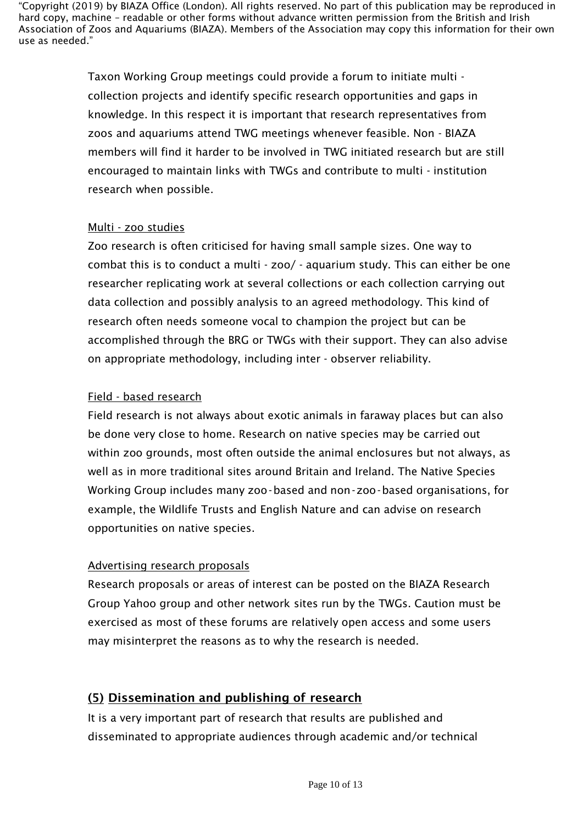> Taxon Working Group meetings could provide a forum to initiate multi collection projects and identify specific research opportunities and gaps in knowledge. In this respect it is important that research representatives from zoos and aquariums attend TWG meetings whenever feasible. Non - BIAZA members will find it harder to be involved in TWG initiated research but are still encouraged to maintain links with TWGs and contribute to multi - institution research when possible.

### Multi - zoo studies

Zoo research is often criticised for having small sample sizes. One way to combat this is to conduct a multi - zoo/ - aquarium study. This can either be one researcher replicating work at several collections or each collection carrying out data collection and possibly analysis to an agreed methodology. This kind of research often needs someone vocal to champion the project but can be accomplished through the BRG or TWGs with their support. They can also advise on appropriate methodology, including inter - observer reliability.

### Field - based research

Field research is not always about exotic animals in faraway places but can also be done very close to home. Research on native species may be carried out within zoo grounds, most often outside the animal enclosures but not always, as well as in more traditional sites around Britain and Ireland. The Native Species Working Group includes many zoo-based and non-zoo-based organisations, for example, the Wildlife Trusts and English Nature and can advise on research opportunities on native species.

## Advertising research proposals

Research proposals or areas of interest can be posted on the BIAZA Research Group Yahoo group and other network sites run by the TWGs. Caution must be exercised as most of these forums are relatively open access and some users may misinterpret the reasons as to why the research is needed.

# (5) Dissemination and publishing of research

It is a very important part of research that results are published and disseminated to appropriate audiences through academic and/or technical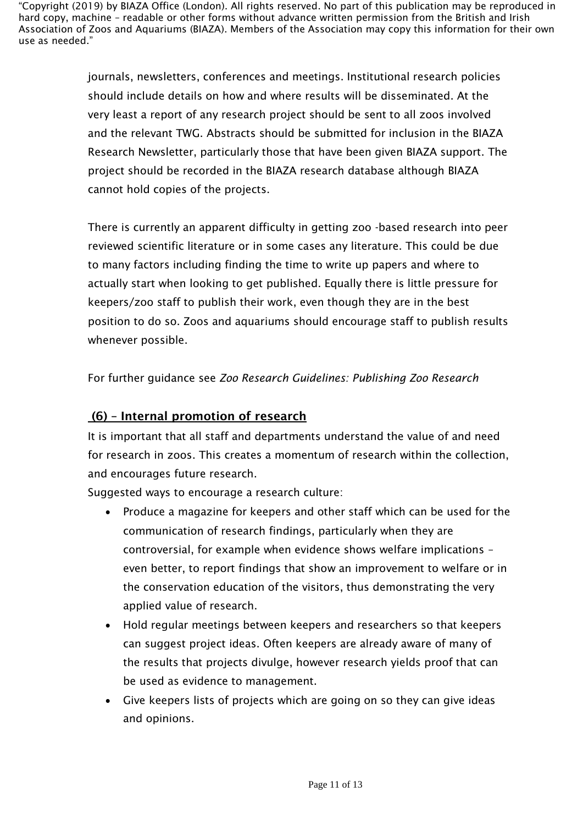> journals, newsletters, conferences and meetings. Institutional research policies should include details on how and where results will be disseminated. At the very least a report of any research project should be sent to all zoos involved and the relevant TWG. Abstracts should be submitted for inclusion in the BIAZA Research Newsletter, particularly those that have been given BIAZA support. The project should be recorded in the BIAZA research database although BIAZA cannot hold copies of the projects.

> There is currently an apparent difficulty in getting zoo -based research into peer reviewed scientific literature or in some cases any literature. This could be due to many factors including finding the time to write up papers and where to actually start when looking to get published. Equally there is little pressure for keepers/zoo staff to publish their work, even though they are in the best position to do so. Zoos and aquariums should encourage staff to publish results whenever possible.

For further guidance see *Zoo Research Guidelines: Publishing Zoo Research*

# (6) – Internal promotion of research

It is important that all staff and departments understand the value of and need for research in zoos. This creates a momentum of research within the collection, and encourages future research.

Suggested ways to encourage a research culture:

- Produce a magazine for keepers and other staff which can be used for the communication of research findings, particularly when they are controversial, for example when evidence shows welfare implications – even better, to report findings that show an improvement to welfare or in the conservation education of the visitors, thus demonstrating the very applied value of research.
- Hold regular meetings between keepers and researchers so that keepers can suggest project ideas. Often keepers are already aware of many of the results that projects divulge, however research yields proof that can be used as evidence to management.
- Give keepers lists of projects which are going on so they can give ideas and opinions.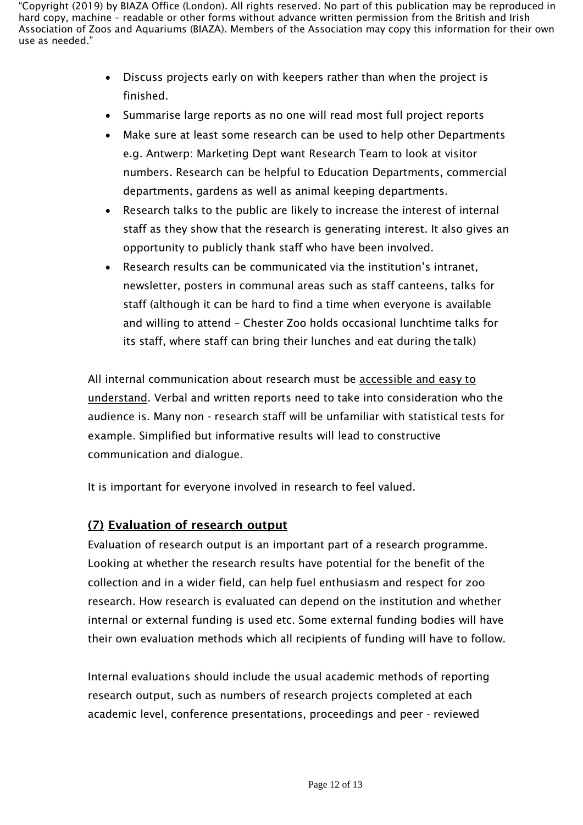- Discuss projects early on with keepers rather than when the project is finished.
- Summarise large reports as no one will read most full project reports
- Make sure at least some research can be used to help other Departments e.g. Antwerp: Marketing Dept want Research Team to look at visitor numbers. Research can be helpful to Education Departments, commercial departments, gardens as well as animal keeping departments.
- Research talks to the public are likely to increase the interest of internal staff as they show that the research is generating interest. It also gives an opportunity to publicly thank staff who have been involved.
- Research results can be communicated via the institution's intranet, newsletter, posters in communal areas such as staff canteens, talks for staff (although it can be hard to find a time when everyone is available and willing to attend – Chester Zoo holds occasional lunchtime talks for its staff, where staff can bring their lunches and eat during the talk)

All internal communication about research must be accessible and easy to understand. Verbal and written reports need to take into consideration who the audience is. Many non - research staff will be unfamiliar with statistical tests for example. Simplified but informative results will lead to constructive communication and dialogue.

It is important for everyone involved in research to feel valued.

# (7) Evaluation of research output

Evaluation of research output is an important part of a research programme. Looking at whether the research results have potential for the benefit of the collection and in a wider field, can help fuel enthusiasm and respect for zoo research. How research is evaluated can depend on the institution and whether internal or external funding is used etc. Some external funding bodies will have their own evaluation methods which all recipients of funding will have to follow.

Internal evaluations should include the usual academic methods of reporting research output, such as numbers of research projects completed at each academic level, conference presentations, proceedings and peer - reviewed